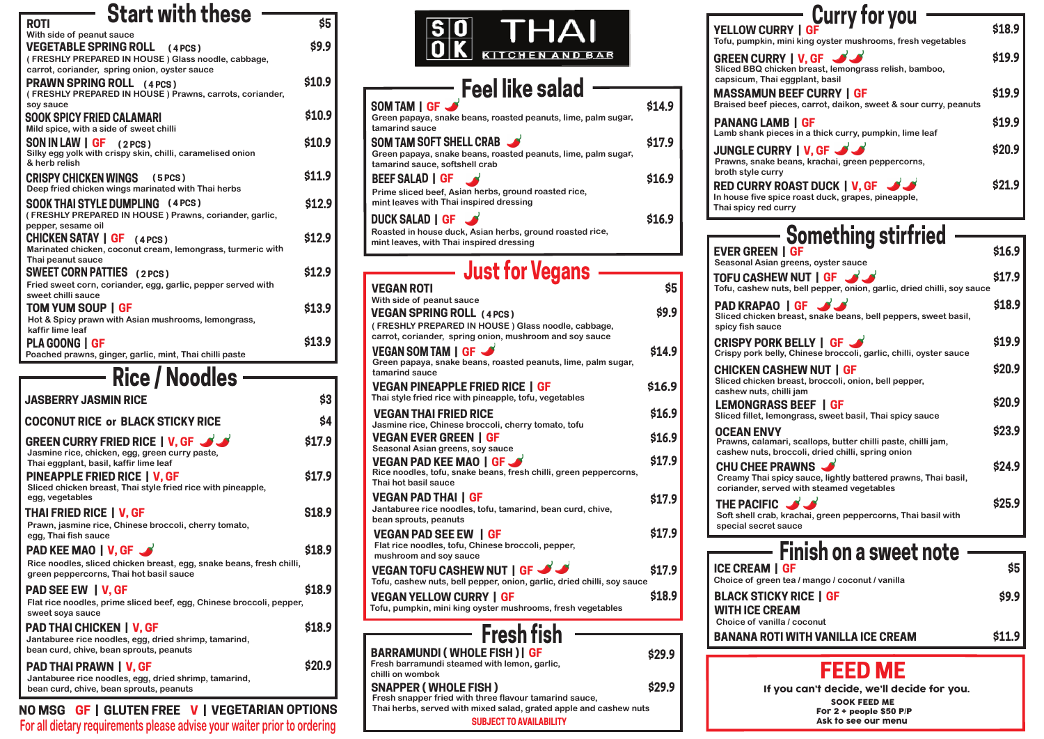**\$20.9 PAD THAI PRAWN | V, GF Jantaburee rice noodles, egg, dried shrimp, tamarind, bean curd, chive, bean sprouts, peanuts bean curd, chive, bean sprouts, peanuts**

> **Thai herbs, served with mixed salad, grated apple and cashew nuts SUBJECT TO AVAILABILITY**

#### **YELLOW CURRY Tofu, pumpkin, min**

**GREEN CURRY Sliced BBQ chicke** capsicum, Thai eg

**MASSAMUN BE Braised beef piece** 

**PANANG LAMB Lamb shank piece** 

## **Feel like salad**

**Roasted in house duck, Asian herbs, ground roasted rice, mint leaves, with Thai inspired dressing**

### **Just for Vegans**

**In house five spice Thai spicy red curry**

**RED CURRY RO JUNGLE CURRY Prawns, snake bear broth style curry** 

| <b>VEGAN ROTI</b>                                                                                                          | \$5    |
|----------------------------------------------------------------------------------------------------------------------------|--------|
| With side of peanut sauce                                                                                                  |        |
| <b>VEGAN SPRING ROLL (4 PCS)</b>                                                                                           | \$9.9  |
| (FRESHLY PREPARED IN HOUSE) Glass noodle, cabbage,<br>carrot, coriander, spring onion, mushroom and soy sauce              |        |
| VEGAN SOM TAM   GF <<br>Green papaya, snake beans, roasted peanuts, lime, palm sugar,<br>tamarind sauce                    | \$14.9 |
| <b>VEGAN PINEAPPLE FRIED RICE I GF</b><br>Thai style fried rice with pineapple, tofu, vegetables                           | \$16.9 |
| <b>VEGAN THAI FRIED RICE</b><br>Jasmine rice, Chinese broccoli, cherry tomato, tofu                                        | \$16.9 |
| <b>VEGAN EVER GREEN I GF</b><br>Seasonal Asian greens, soy sauce                                                           | \$16.9 |
| <b>VEGAN PAD KEE MAO   GF</b><br>Rice noodles, tofu, snake beans, fresh chilli, green peppercorns,<br>Thai hot basil sauce | \$17.9 |
| <b>VEGAN PAD THAI   GF</b><br>Jantaburee rice noodles, tofu, tamarind, bean curd, chive,<br>bean sprouts, peanuts          | \$17.9 |
| <b>VEGAN PAD SEE EW I GF</b><br>Flat rice noodles, tofu, Chinese broccoli, pepper,<br>mushroom and soy sauce               | \$17.9 |
| VEGAN TOFU CASHEW NUT   GF<br>Tofu, cashew nuts, bell pepper, onion, garlic, dried chilli, soy sauce                       | \$17.9 |
| <b>VEGAN YELLOW CURRY I GF</b><br>Tofu, pumpkin, mini king oyster mushrooms, fresh vegetables                              | \$18.9 |
| <b>Fresh fish</b>                                                                                                          |        |
|                                                                                                                            |        |
| <b>BARRAMUNDI (WHOLE FISH)   GF</b><br>Fresh barramundi steamed with lemon, garlic,<br>chilli on wombok                    | \$29.9 |
| <b>SNAPPER (WHOLE FISH)</b><br>Fresh snapper fried with three flavour tamarind sauce,                                      | \$29.9 |
| the contract of the contract of the contract of the contract of the contract of the contract of the contract of            |        |

**THE PACIFIC \ Soft shell crab, kra** special secret sau

| SOM TAM   GF                                                                                    |        |
|-------------------------------------------------------------------------------------------------|--------|
| Green papaya, snake beans, roasted peanuts, lime, palm sugar,<br>tamarind sauce                 |        |
| SOM TAM SOFT SHELL CRAB                                                                         | \$17.9 |
| Green papaya, snake beans, roasted peanuts, lime, palm sugar,<br>tamarind sauce, softshell crab |        |
| <b>BEEF SALAD   GF</b>                                                                          | \$16.9 |
| Prime sliced beef, Asian herbs, ground roasted rice,<br>mint leaves with Thai inspired dressing |        |
| <b>DUCK SALAD   GF</b>                                                                          | \$16.9 |

| <b>Start with these</b><br><b>ROTI</b>                                                                                                                                   | \$5          |
|--------------------------------------------------------------------------------------------------------------------------------------------------------------------------|--------------|
| With side of peanut sauce<br><b>VEGETABLE SPRING ROLL (4 PCS)</b><br>(FRESHLY PREPARED IN HOUSE) Glass noodle, cabbage,<br>carrot, coriander, spring onion, oyster sauce | \$9.9        |
| <b>PRAWN SPRING ROLL (4 PCS)</b><br>(FRESHLY PREPARED IN HOUSE) Prawns, carrots, coriander,<br>soy sauce                                                                 | \$10.9       |
| <b>SOOK SPICY FRIED CALAMARI</b><br>Mild spice, with a side of sweet chilli                                                                                              | \$10.9       |
| SON IN LAW   GF<br>(2 PCS)<br>Silky egg yolk with crispy skin, chilli, caramelised onion<br>& herb relish                                                                | \$10.9       |
| <b>CRISPY CHICKEN WINGS (5 PCS)</b><br>Deep fried chicken wings marinated with Thai herbs                                                                                | \$11.9       |
| <b>SOOK THAI STYLE DUMPLING (4 PCS)</b><br>(FRESHLY PREPARED IN HOUSE) Prawns, coriander, garlic,<br>pepper, sesame oil                                                  | \$12.9       |
| <b>CHICKEN SATAY   GF</b><br>(4PCS)<br>Marinated chicken, coconut cream, lemongrass, turmeric with<br>Thai peanut sauce                                                  | \$12.9       |
| <b>SWEET CORN PATTIES</b> (2 PCS)<br>Fried sweet corn, coriander, egg, garlic, pepper served with                                                                        | \$12.9       |
| sweet chilli sauce<br>TOM YUM SOUP   GF<br>Hot & Spicy prawn with Asian mushrooms, lemongrass,                                                                           | \$13.9       |
| kaffir lime leaf<br><b>PLA GOONG I GF</b><br>Poached prawns, ginger, garlic, mint, Thai chilli paste                                                                     | \$13.9       |
|                                                                                                                                                                          |              |
| <b>KILE / KUUUIGS</b>                                                                                                                                                    |              |
| <b>JASBERRY JASMIN RICE</b>                                                                                                                                              | \$3          |
| <b>COCONUT RICE or BLACK STICKY RICE</b>                                                                                                                                 | \$4          |
| <b>GREEN CURRY FRIED RICE   V, GF 33</b><br>Jasmine rice, chicken, egg, green curry paste,<br>Thai eggplant, basil, kaffir lime leaf                                     | \$17.9       |
| <b>PINEAPPLE FRIED RICE   V, GF</b><br>Sliced chicken breast, Thai style fried rice with pineapple,<br>egg, vegetables                                                   | \$17.9       |
| <b>THAI FRIED RICE   V, GF</b><br>Prawn, jasmine rice, Chinese broccoli, cherry tomato,<br>egg, Thai fish sauce                                                          | <b>S18.9</b> |
| <b>PAD KEE MAO   V, GF</b><br>Rice noodles, sliced chicken breast, egg, snake beans, fresh chilli,<br>green peppercorns, Thai hot basil sauce                            | \$18.9       |
| <b>PAD SEE EW   V, GF</b><br>Flat rice noodles, prime sliced beef, egg, Chinese broccoli, pepper,                                                                        | \$18.9       |
| sweet soya sauce<br><b>PAD THAI CHICKEN   V, GF</b><br>Jantaburee rice noodles, egg, dried shrimp, tamarind,                                                             | \$18.9       |



| $ \mathbf{S} 0$ | THAI            |
|-----------------|-----------------|
| 10 I K          | KITCHEN AND BAR |

| Finish on a sweet note          |       |
|---------------------------------|-------|
| <b>GF</b>                       | \$5   |
| tea / mango / coconut / vanilla |       |
| Y RICE   GF                     | \$9.9 |
| EAM                             |       |



**BANANA ROTI WITH VANILLA ICE CREAM \$11.9**

 **NO MSG GF | GLUTEN FREE V | VEGETARIAN OPTIONS** 

| <b>Something stirfried</b>                                                                                                             |               |
|----------------------------------------------------------------------------------------------------------------------------------------|---------------|
| <b>EVER GREEN   GF</b><br>Seasonal Asian greens, oyster sauce                                                                          | \$16.9        |
| TOFU CASHEW NUT   GF J<br>Tofu, cashew nuts, bell pepper, onion, garlic, dried chilli, soy sauce                                       | \$17.9        |
| <b>PAD KRAPAO   GF</b><br>Sliced chicken breast, snake beans, bell peppers, sweet basil,<br>spicy fish sauce                           | \$18.9        |
| <b>CRISPY PORK BELLY   GF</b><br>Crispy pork belly, Chinese broccoli, garlic, chilli, oyster sauce                                     | \$19.9        |
| <b>CHICKEN CASHEW NUT   GF</b><br>Sliced chicken breast, broccoli, onion, bell pepper,<br>cashew nuts, chilli jam                      | \$20.9        |
| <b>LEMONGRASS BEEF   GF</b><br>Sliced fillet, lemongrass, sweet basil, Thai spicy sauce                                                | \$20.9        |
| <b>OCEAN ENVY</b><br>Prawns, calamari, scallops, butter chilli paste, chilli jam,<br>cashew nuts, broccoli, dried chilli, spring onion | \$23.9        |
| CHU CHEE PRAWNS<br>Creamy Thai spicy sauce, lightly battered prawns, Thai basil,<br>coriander, served with steamed vegetables          | <b>\$24.9</b> |
| THE PACIFIC J<br>Soft shell crab, krachai, green peppercorns, Thai basil with<br>special secret sauce                                  | \$25.9        |

| <b>Curry for you</b><br>ni king oyster mushrooms, fresh vegetables                        | \$18.9 |
|-------------------------------------------------------------------------------------------|--------|
| $IV.$ GF $\mathcal{N}$<br>en breast, lemongrass relish, bamboo,                           | \$19.9 |
| gplant, basil<br><b>EEF CURRY   GF</b><br>es, carrot, daikon, sweet & sour curry, peanuts | \$19.9 |
| l GF<br>s in a thick curry, pumpkin, lime leaf                                            | \$19.9 |
| $\mathcal{U}$   V, GF $\mathcal{L}$<br>ans, krachai, green peppercorns,                   | \$20.9 |
| AST DUCK   V, GF<br>froast duck, grapes, pineapple,<br>ry                                 | \$21.9 |

## **FEED ME**

For 2 + people \$50 P/P

Ask to see our menu

- 
- 

 SOOK FEED ME If you can't decide, we'll decide for you.